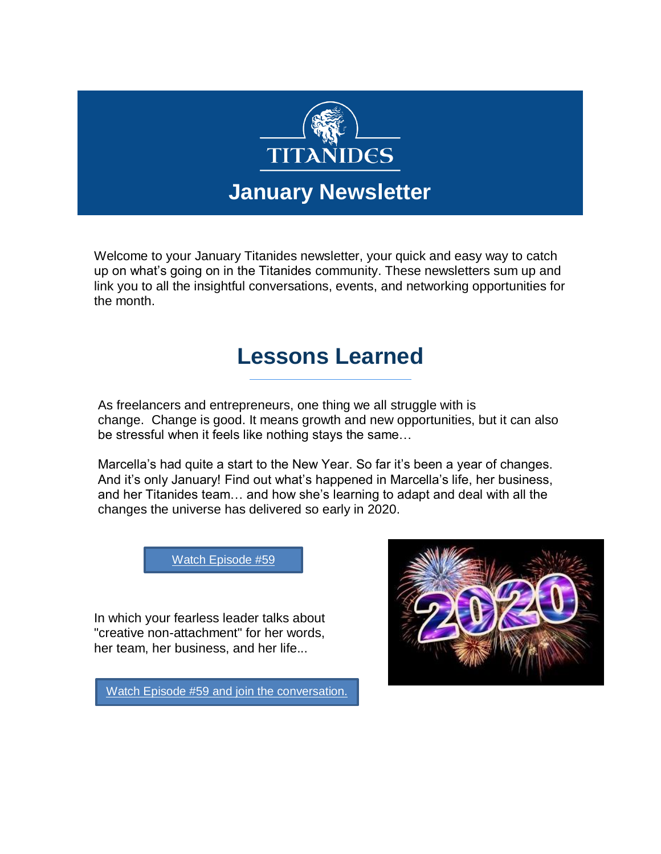

Welcome to your January Titanides newsletter, your quick and easy way to catch up on what's going on in the Titanides community. These newsletters sum up and link you to all the insightful conversations, events, and networking opportunities for the month.

### **Lessons Learned**

As freelancers and entrepreneurs, one thing we all struggle with is change. Change is good. It means growth and new opportunities, but it can also be stressful when it feels like nothing stays the same…

Marcella's had quite a start to the New Year. So far it's been a year of changes. And it's only January! Find out what's happened in Marcella's life, her business, and her Titanides team… and how she's learning to adapt and deal with all the changes the universe has delivered so early in 2020.

[Watch Episode #59](https://web.facebook.com/groups/Titanides/)

In which your fearless leader talks about "creative non-attachment" for her words, her team, her business, and her life...

[Watch Episode #59 and join the conversation.](https://web.facebook.com/groups/Titanides/)

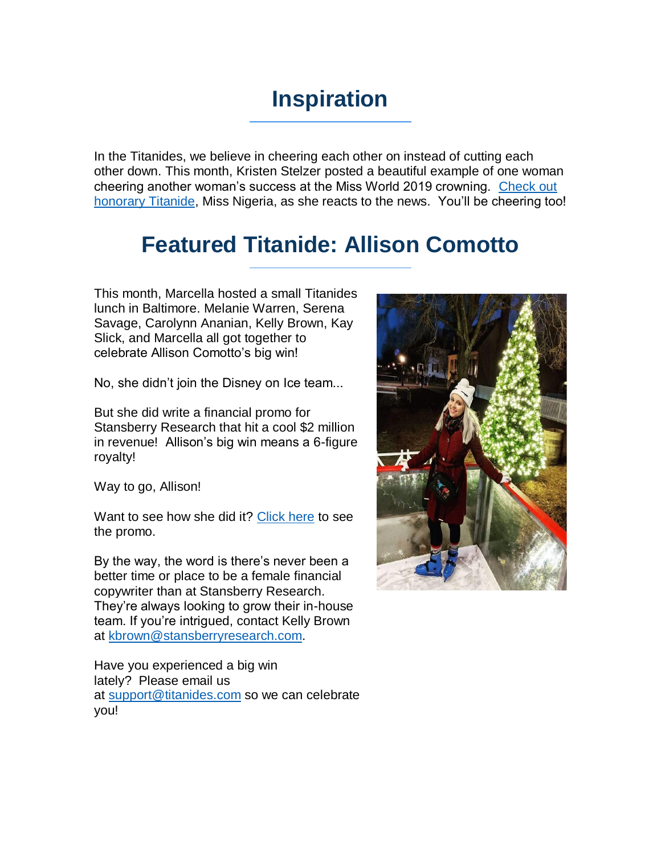# **Inspiration**

In the Titanides, we believe in cheering each other on instead of cutting each other down. This month, Kristen Stelzer posted a beautiful example of one woman cheering another woman's success at the Miss World 2019 crowning. [Check out](https://titanidesllc.acemlna.com/lt.php?notrack=1¬rack=1&s=bad97c655476f96a390a72c05a742011&i=144A194A6A953) [honorary Titanide,](https://titanidesllc.acemlna.com/lt.php?notrack=1¬rack=1&s=bad97c655476f96a390a72c05a742011&i=144A194A6A953) Miss Nigeria, as she reacts to the news. You'll be cheering too!

### **Featured Titanide: Allison Comotto**

This month, Marcella hosted a small Titanides lunch in Baltimore. Melanie Warren, Serena Savage, Carolynn Ananian, Kelly Brown, Kay Slick, and Marcella all got together to celebrate Allison Comotto's big win!

No, she didn't join the Disney on Ice team...

But she did write a financial promo for Stansberry Research that hit a cool \$2 million in revenue! Allison's big win means a 6-figure royalty!

Way to go, Allison!

Want to see how she did it? [Click here](https://titanidesllc.acemlna.com/lt.php?notrack=1¬rack=1&s=bad97c655476f96a390a72c05a742011&i=144A194A6A954) to see the promo.

By the way, the word is there's never been a better time or place to be a female financial copywriter than at Stansberry Research. They're always looking to grow their in-house team. If you're intrigued, contact Kelly Brown at [kbrown@stansberryresearch.com.](mailto:kbrown@stansberryresearch.com)

Have you experienced a big win lately? Please email us at [support@titanides.com](mailto:support@titanides.com) so we can celebrate you!

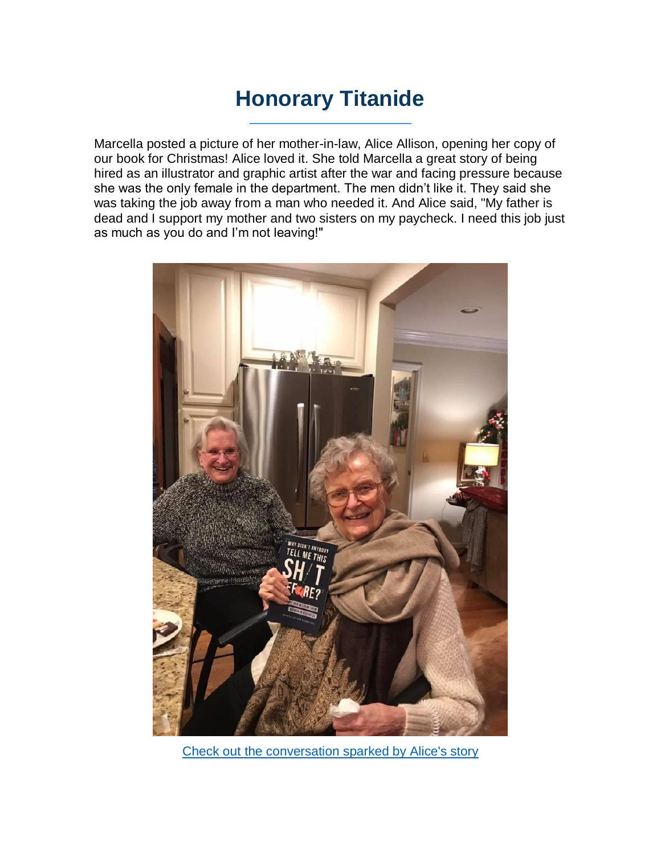### **Honorary Titanide**

Marcella posted a picture of her mother-in-law, Alice Allison, opening her copy of our book for Christmas! Alice loved it. She told Marcella a great story of being hired as an illustrator and graphic artist after the war and facing pressure because she was the only female in the department. The men didn't like it. They said she was taking the job away from a man who needed it. And Alice said, "My father is dead and I support my mother and two sisters on my paycheck. I need this job just as much as you do and I'm not leaving!"



[Check out the conversation sparked by Alice's story](https://titanidesllc.acemlna.com/lt.php?notrack=1¬rack=1&s=bad97c655476f96a390a72c05a742011&i=144A194A6A955)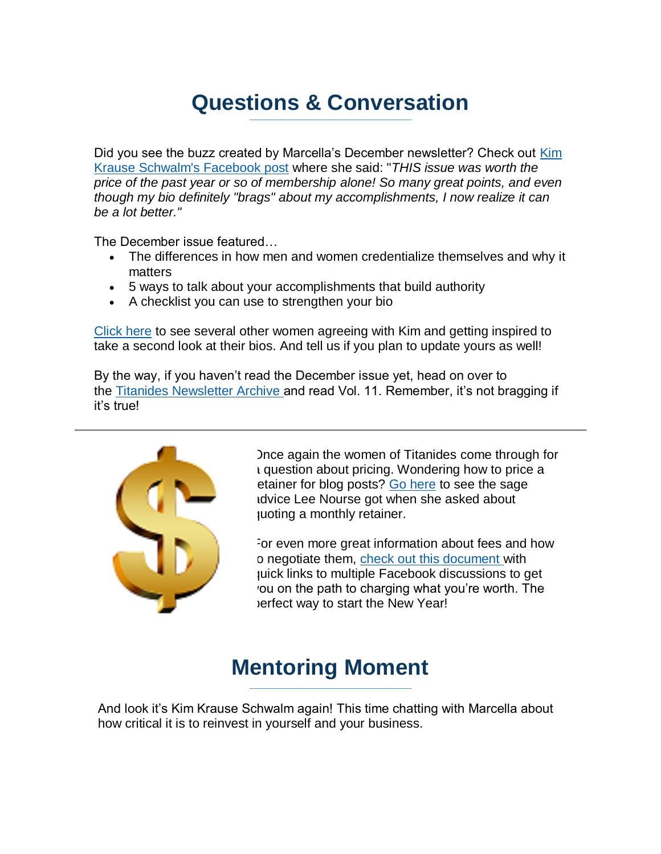## **Questions & Conversation**

Did you see the buzz created by Marcella's December newsletter? Check out [Kim](https://titanidesllc.acemlna.com/lt.php?notrack=1¬rack=1&s=bad97c655476f96a390a72c05a742011&i=144A194A6A956)  [Krause Schwalm's Facebook post](https://titanidesllc.acemlna.com/lt.php?notrack=1¬rack=1&s=bad97c655476f96a390a72c05a742011&i=144A194A6A956) where she said: "*THIS issue was worth the price of the past year or so of membership alone! So many great points, and even though my bio definitely "brags" about my accomplishments, I now realize it can be a lot better."*

The December issue featured…

- The differences in how men and women credentialize themselves and why it matters
- 5 ways to talk about your accomplishments that build authority
- A checklist you can use to strengthen your bio

[Click here](https://titanidesllc.acemlna.com/lt.php?notrack=1¬rack=1&s=bad97c655476f96a390a72c05a742011&i=144A194A6A956) to see several other women agreeing with Kim and getting inspired to take a second look at their bios. And tell us if you plan to update yours as well!

By the way, if you haven't read the December issue yet, head on over to the [Titanides Newsletter Archive](https://titanidesllc.acemlna.com/lt.php?notrack=1¬rack=1&s=bad97c655476f96a390a72c05a742011&i=144A194A6A957) and read Vol. 11. Remember, it's not bragging if it's true!



Once again the women of Titanides come through for a question about pricing. Wondering how to price a etainer for blog posts? [Go here](https://titanidesllc.acemlna.com/lt.php?notrack=1¬rack=1&s=bad97c655476f96a390a72c05a742011&i=144A194A6A958) to see the sage advice Lee Nourse got when she asked about quoting a monthly retainer.

For even more great information about fees and how o negotiate them, [check out this document](https://titanidesllc.acemlna.com/lt.php?notrack=1¬rack=1&s=bad97c655476f96a390a72c05a742011&i=144A194A6A959) with quick links to multiple Facebook discussions to get you on the path to charging what you're worth. The perfect way to start the New Year!

### **Mentoring Moment**

And look it's Kim Krause Schwalm again! This time chatting with Marcella about how critical it is to reinvest in yourself and your business.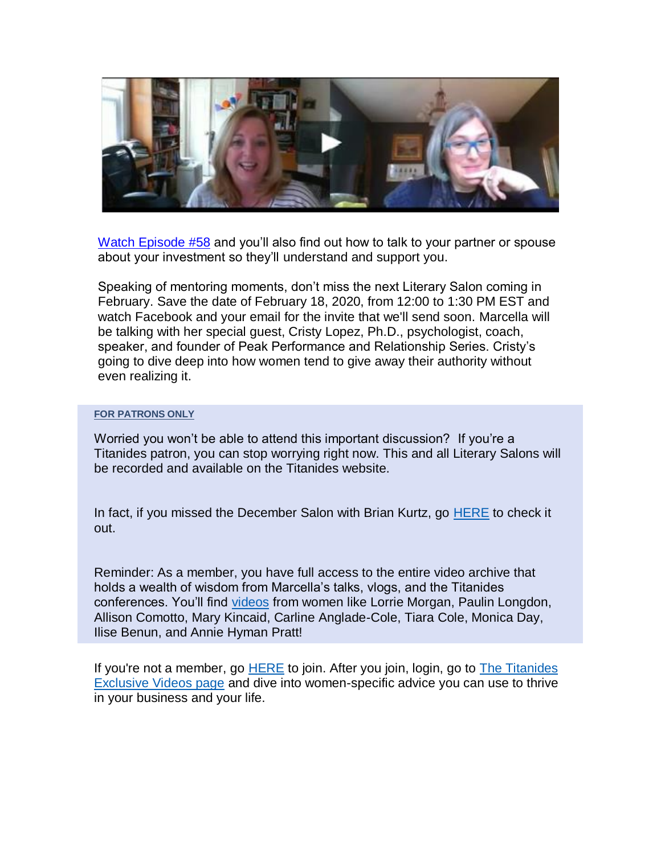

[Watch Episode #58](https://titanidesllc.acemlna.com/lt.php?notrack=1¬rack=1&s=bad97c655476f96a390a72c05a742011&i=144A194A6A960) and you'll also find out how to talk to your partner or spouse about your investment so they'll understand and support you.

Speaking of mentoring moments, don't miss the next Literary Salon coming in February. Save the date of February 18, 2020, from 12:00 to 1:30 PM EST and watch Facebook and your email for the invite that we'll send soon. Marcella will be talking with her special guest, Cristy Lopez, Ph.D., psychologist, coach, speaker, and founder of Peak Performance and Relationship Series. Cristy's going to dive deep into how women tend to give away their authority without even realizing it.

#### **FOR PATRONS ONLY**

Worried you won't be able to attend this important discussion? If you're a Titanides patron, you can stop worrying right now. This and all Literary Salons will be recorded and available on the Titanides website.

In fact, if you missed the December Salon with Brian Kurtz, go **[HERE](https://titanidesllc.acemlna.com/lt.php?notrack=1¬rack=1&s=bad97c655476f96a390a72c05a742011&i=144A194A6A961)** to check it out.

Reminder: As a member, you have full access to the entire video archive that holds a wealth of wisdom from Marcella's talks, vlogs, and the Titanides conferences. You'll find [videos](https://titanidesllc.acemlna.com/lt.php?notrack=1¬rack=1&s=bad97c655476f96a390a72c05a742011&i=144A194A6A962) from women like Lorrie Morgan, Paulin Longdon, Allison Comotto, Mary Kincaid, Carline Anglade-Cole, Tiara Cole, Monica Day, Ilise Benun, and Annie Hyman Pratt!

If you're not a member, go [HERE](https://titanidesllc.acemlna.com/lt.php?notrack=1¬rack=1&s=bad97c655476f96a390a72c05a742011&i=144A194A6A963) to join. After you join, login, go to [The Titanides](https://titanidesllc.acemlna.com/lt.php?notrack=1¬rack=1&s=bad97c655476f96a390a72c05a742011&i=144A194A6A964)  [Exclusive Videos page](https://titanidesllc.acemlna.com/lt.php?notrack=1¬rack=1&s=bad97c655476f96a390a72c05a742011&i=144A194A6A964) and dive into women-specific advice you can use to thrive in your business and your life.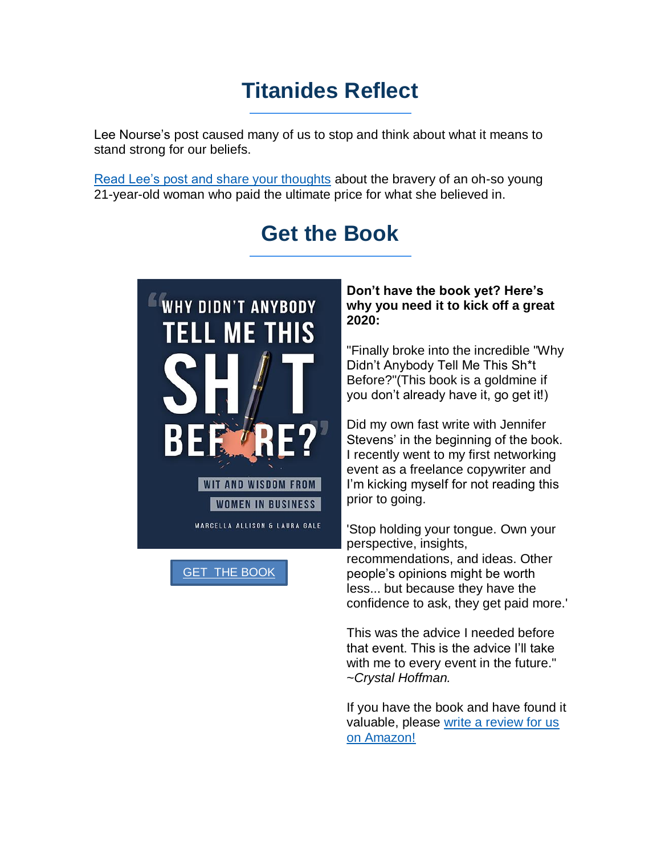### **Titanides Reflect**

Lee Nourse's post caused many of us to stop and think about what it means to stand strong for our beliefs.

[Read Lee's post and share your thoughts](https://titanidesllc.acemlna.com/lt.php?notrack=1¬rack=1&s=bad97c655476f96a390a72c05a742011&i=144A194A6A965) about the bravery of an oh-so young 21-year-old woman who paid the ultimate price for what she believed in.

## **Get the Book**



[GET THE BOOK](https://www.amazon.com/Didnt-Anybody-Tell-This-Before/dp/1733790330/ref=tmm_pap_swatch_0?_encoding=UTF8&qid=1574263426&sr=8-1-fkmr0)

### **Don't have the book yet? Here's why you need it to kick off a great 2020:**

"Finally broke into the incredible "Why Didn't Anybody Tell Me This Sh\*t Before?"(This book is a goldmine if you don't already have it, go get it!)

Did my own fast write with Jennifer Stevens' in the beginning of the book. I recently went to my first networking event as a freelance copywriter and I'm kicking myself for not reading this prior to going.

'Stop holding your tongue. Own your perspective, insights, recommendations, and ideas. Other people's opinions might be worth less... but because they have the confidence to ask, they get paid more.'

This was the advice I needed before that event. This is the advice I'll take with me to every event in the future." ~*Crystal Hoffman.*

If you have the book and have found it valuable, please [write a review for us](https://titanidesllc.acemlna.com/lt.php?notrack=1¬rack=1&s=bad97c655476f96a390a72c05a742011&i=144A194A6A967)  [on Amazon!](https://titanidesllc.acemlna.com/lt.php?notrack=1¬rack=1&s=bad97c655476f96a390a72c05a742011&i=144A194A6A967)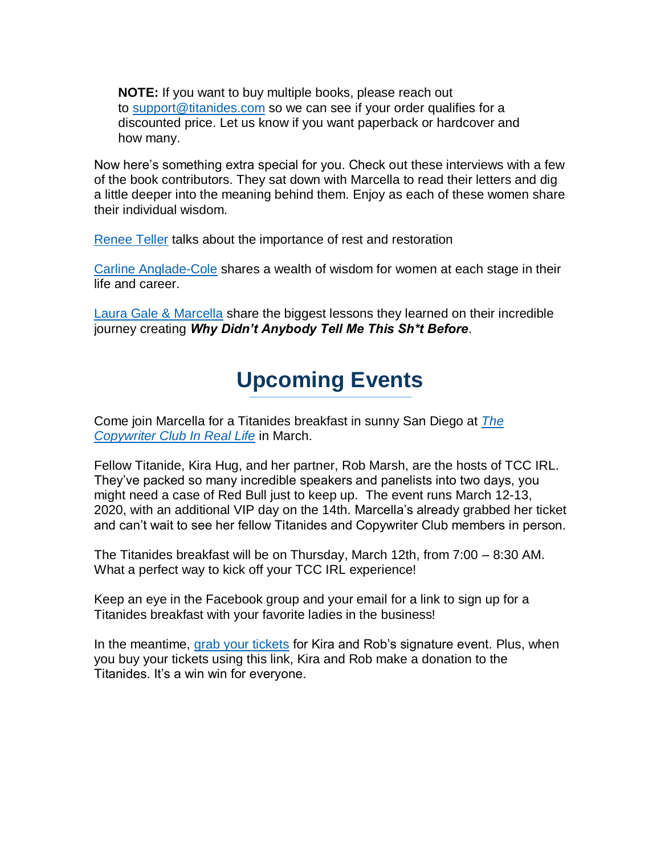**NOTE:** If you want to buy multiple books, please reach out to [support@titanides.com](mailto:support@titanides.com) so we can see if your order qualifies for a discounted price. Let us know if you want paperback or hardcover and how many.

Now here's something extra special for you. Check out these interviews with a few of the book contributors. They sat down with Marcella to read their letters and dig a little deeper into the meaning behind them. Enjoy as each of these women share their individual wisdom.

[Renee Teller](https://titanidesllc.acemlna.com/lt.php?notrack=1¬rack=1&s=bad97c655476f96a390a72c05a742011&i=144A194A6A968) talks about the importance of rest and restoration

[Carline Anglade-Cole](https://titanidesllc.acemlna.com/lt.php?notrack=1¬rack=1&s=bad97c655476f96a390a72c05a742011&i=144A194A6A969) shares a wealth of wisdom for women at each stage in their life and career.

[Laura Gale & Marcella](https://titanidesllc.acemlna.com/lt.php?notrack=1¬rack=1&s=bad97c655476f96a390a72c05a742011&i=144A194A6A970) share the biggest lessons they learned on their incredible journey creating *Why Didn't Anybody Tell Me This Sh\*t Before*.

## **Upcoming Events**

Come join Marcella for a Titanides breakfast in sunny San Diego at *[The](https://titanidesllc.acemlna.com/lt.php?notrack=1¬rack=1&s=bad97c655476f96a390a72c05a742011&i=144A194A6A971)  [Copywriter Club In Real Life](https://titanidesllc.acemlna.com/lt.php?notrack=1¬rack=1&s=bad97c655476f96a390a72c05a742011&i=144A194A6A971)* in March.

Fellow Titanide, Kira Hug, and her partner, Rob Marsh, are the hosts of TCC IRL. They've packed so many incredible speakers and panelists into two days, you might need a case of Red Bull just to keep up. The event runs March 12-13, 2020, with an additional VIP day on the 14th. Marcella's already grabbed her ticket and can't wait to see her fellow Titanides and Copywriter Club members in person.

The Titanides breakfast will be on Thursday, March 12th, from 7:00 – 8:30 AM. What a perfect way to kick off your TCC IRL experience!

Keep an eye in the Facebook group and your email for a link to sign up for a Titanides breakfast with your favorite ladies in the business!

In the meantime, [grab your tickets](https://titanidesllc.acemlna.com/lt.php?notrack=1¬rack=1&s=bad97c655476f96a390a72c05a742011&i=144A194A6A971) for Kira and Rob's signature event. Plus, when you buy your tickets using this link, Kira and Rob make a donation to the Titanides. It's a win win for everyone.